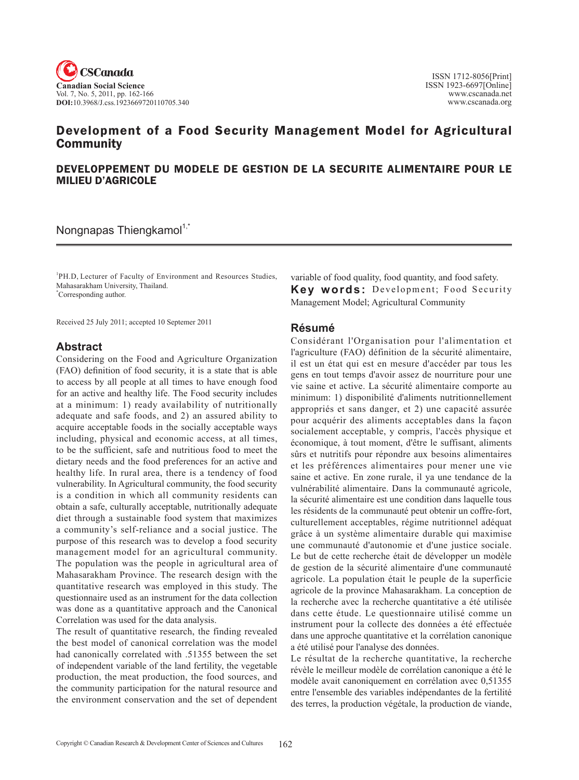

# Development of a Food Security Management Model for Agricultural **Community**

## DEVELOPPEMENT DU MODELE DE GESTION DE LA SECURITE ALIMENTAIRE POUR LE MILIEU D'AGRICOLE

Nongnapas Thiengkamol $1$ ,

<sup>1</sup>PH.D, Lecturer of Faculty of Environment and Resources Studies, Mahasarakham University, Thailand. \* Corresponding author.

Received 25 July 2011; accepted 10 Septemer 2011

## **Abstract**

Considering on the Food and Agriculture Organization (FAO) definition of food security, it is a state that is able to access by all people at all times to have enough food for an active and healthy life. The Food security includes at a minimum: 1) ready availability of nutritionally adequate and safe foods, and 2) an assured ability to acquire acceptable foods in the socially acceptable ways including, physical and economic access, at all times, to be the sufficient, safe and nutritious food to meet the dietary needs and the food preferences for an active and healthy life. In rural area, there is a tendency of food vulnerability. In Agricultural community, the food security is a condition in which all community residents can obtain a safe, culturally acceptable, nutritionally adequate diet through a sustainable food system that maximizes a community's self-reliance and a social justice. The purpose of this research was to develop a food security management model for an agricultural community. The population was the people in agricultural area of Mahasarakham Province. The research design with the quantitative research was employed in this study. The questionnaire used as an instrument for the data collection was done as a quantitative approach and the Canonical Correlation was used for the data analysis.

The result of quantitative research, the finding revealed the best model of canonical correlation was the model had canonically correlated with .51355 between the set of independent variable of the land fertility, the vegetable production, the meat production, the food sources, and the community participation for the natural resource and the environment conservation and the set of dependent

variable of food quality, food quantity, and food safety. **Key words:** Development; Food Security Management Model; Agricultural Community

### **Résumé**

Considérant l'Organisation pour l'alimentation et l'agriculture (FAO) définition de la sécurité alimentaire, il est un état qui est en mesure d'accéder par tous les gens en tout temps d'avoir assez de nourriture pour une vie saine et active. La sécurité alimentaire comporte au minimum: 1) disponibilité d'aliments nutritionnellement appropriés et sans danger, et 2) une capacité assurée pour acquérir des aliments acceptables dans la façon socialement acceptable, y compris, l'accès physique et économique, à tout moment, d'être le suffisant, aliments sûrs et nutritifs pour répondre aux besoins alimentaires et les préférences alimentaires pour mener une vie saine et active. En zone rurale, il ya une tendance de la vulnérabilité alimentaire. Dans la communauté agricole, la sécurité alimentaire est une condition dans laquelle tous les résidents de la communauté peut obtenir un coffre-fort, culturellement acceptables, régime nutritionnel adéquat grâce à un système alimentaire durable qui maximise une communauté d'autonomie et d'une justice sociale. Le but de cette recherche était de développer un modèle de gestion de la sécurité alimentaire d'une communauté agricole. La population était le peuple de la superficie agricole de la province Mahasarakham. La conception de la recherche avec la recherche quantitative a été utilisée dans cette étude. Le questionnaire utilisé comme un instrument pour la collecte des données a été effectuée dans une approche quantitative et la corrélation canonique a été utilisé pour l'analyse des données.

Le résultat de la recherche quantitative, la recherche révèle le meilleur modèle de corrélation canonique a été le modèle avait canoniquement en corrélation avec 0,51355 entre l'ensemble des variables indépendantes de la fertilité des terres, la production végétale, la production de viande,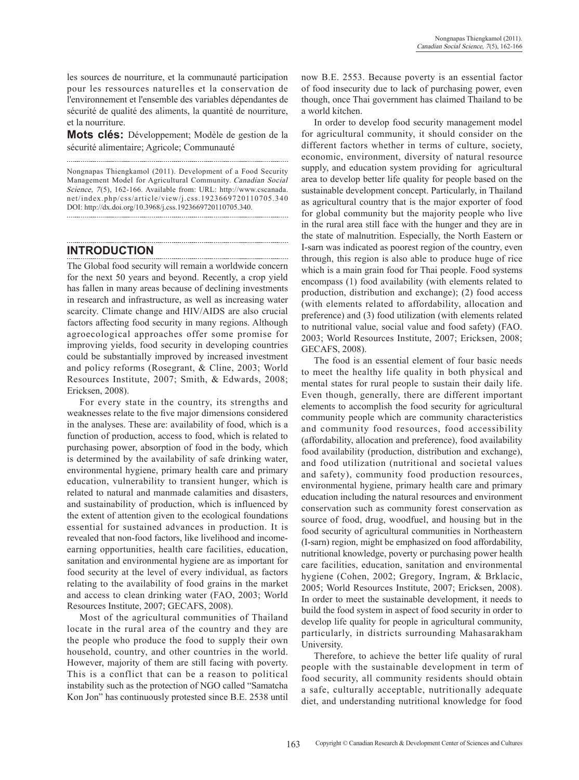les sources de nourriture, et la communauté participation pour les ressources naturelles et la conservation de l'environnement et l'ensemble des variables dépendantes de sécurité de qualité des aliments, la quantité de nourriture, et la nourriture.

**Mots clés:** Développement; Modèle de gestion de la sécurité alimentaire; Agricole; Communauté

Nongnapas Thiengkamol (2011). Development of a Food Security Management Model for Agricultural Community. Canadian Social Science, 7(5), 162-166. Available from: URL: http://www.cscanada. net/index.php/css/article/view/j.css.1923669720110705.340 DOI: http://dx.doi.org/10.3968/j.css.1923669720110705.340.

# **Introduction**

The Global food security will remain a worldwide concern for the next 50 years and beyond. Recently, a crop yield has fallen in many areas because of declining investments in research and infrastructure, as well as increasing water scarcity. Climate change and HIV/AIDS are also crucial factors affecting food security in many regions. Although agroecological approaches offer some promise for improving yields, food security in developing countries could be substantially improved by increased investment and policy reforms (Rosegrant, & Cline, 2003; World Resources Institute, 2007; Smith, & Edwards, 2008; Ericksen, 2008).

For every state in the country, its strengths and weaknesses relate to the five major dimensions considered in the analyses. These are: availability of food, which is a function of production, access to food, which is related to purchasing power, absorption of food in the body, which is determined by the availability of safe drinking water, environmental hygiene, primary health care and primary education, vulnerability to transient hunger, which is related to natural and manmade calamities and disasters, and sustainability of production, which is influenced by the extent of attention given to the ecological foundations essential for sustained advances in production. It is revealed that non-food factors, like livelihood and incomeearning opportunities, health care facilities, education, sanitation and environmental hygiene are as important for food security at the level of every individual, as factors relating to the availability of food grains in the market and access to clean drinking water (FAO, 2003; World Resources Institute, 2007; GECAFS, 2008).

Most of the agricultural communities of Thailand locate in the rural area of the country and they are the people who produce the food to supply their own household, country, and other countries in the world. However, majority of them are still facing with poverty. This is a conflict that can be a reason to political instability such as the protection of NGO called "Samatcha Kon Jon" has continuously protested since B.E. 2538 until now B.E. 2553. Because poverty is an essential factor of food insecurity due to lack of purchasing power, even though, once Thai government has claimed Thailand to be a world kitchen.

In order to develop food security management model for agricultural community, it should consider on the different factors whether in terms of culture, society, economic, environment, diversity of natural resource supply, and education system providing for agricultural area to develop better life quality for people based on the sustainable development concept. Particularly, in Thailand as agricultural country that is the major exporter of food for global community but the majority people who live in the rural area still face with the hunger and they are in the state of malnutrition. Especially, the North Eastern or I-sarn was indicated as poorest region of the country, even through, this region is also able to produce huge of rice which is a main grain food for Thai people. Food systems encompass (1) food availability (with elements related to production, distribution and exchange); (2) food access (with elements related to affordability, allocation and preference) and (3) food utilization (with elements related to nutritional value, social value and food safety) (FAO. 2003; World Resources Institute, 2007; Ericksen, 2008; GECAFS, 2008).

The food is an essential element of four basic needs to meet the healthy life quality in both physical and mental states for rural people to sustain their daily life. Even though, generally, there are different important elements to accomplish the food security for agricultural community people which are community characteristics and community food resources, food accessibility (affordability, allocation and preference), food availability food availability (production, distribution and exchange), and food utilization (nutritional and societal values and safety), community food production resources, environmental hygiene, primary health care and primary education including the natural resources and environment conservation such as community forest conservation as source of food, drug, woodfuel, and housing but in the food security of agricultural communities in Northeastern (I-sarn) region, might be emphasized on food affordability, nutritional knowledge, poverty or purchasing power health care facilities, education, sanitation and environmental hygiene (Cohen, 2002; Gregory, Ingram, & Brklacic, 2005; World Resources Institute, 2007; Ericksen, 2008). In order to meet the sustainable development, it needs to build the food system in aspect of food security in order to develop life quality for people in agricultural community, particularly, in districts surrounding Mahasarakham University.

Therefore, to achieve the better life quality of rural people with the sustainable development in term of food security, all community residents should obtain a safe, culturally acceptable, nutritionally adequate diet, and understanding nutritional knowledge for food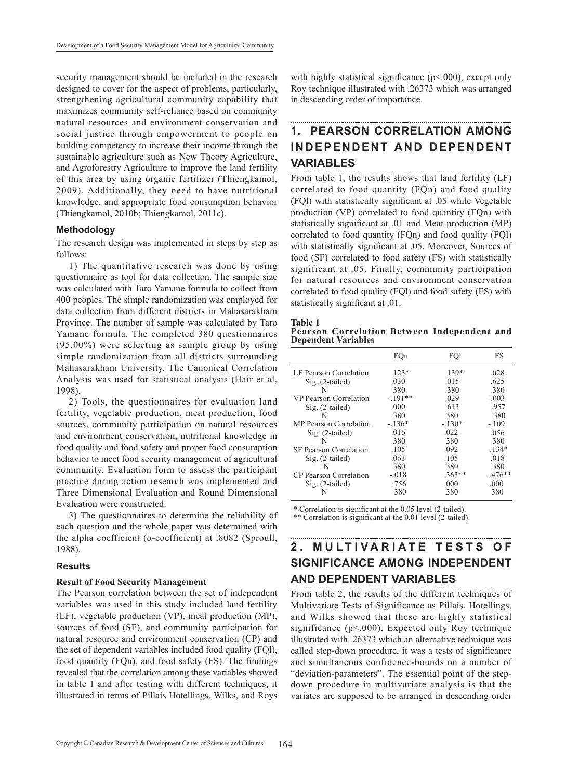security management should be included in the research designed to cover for the aspect of problems, particularly, strengthening agricultural community capability that maximizes community self-reliance based on community natural resources and environment conservation and social justice through empowerment to people on building competency to increase their income through the sustainable agriculture such as New Theory Agriculture, and Agroforestry Agriculture to improve the land fertility of this area by using organic fertilizer (Thiengkamol, 2009). Additionally, they need to have nutritional knowledge, and appropriate food consumption behavior (Thiengkamol, 2010b; Thiengkamol, 2011c).

#### **Methodology**

The research design was implemented in steps by step as follows:

1) The quantitative research was done by using questionnaire as tool for data collection. The sample size was calculated with Taro Yamane formula to collect from 400 peoples. The simple randomization was employed for data collection from different districts in Mahasarakham Province. The number of sample was calculated by Taro Yamane formula. The completed 380 questionnaires (95.00%) were selecting as sample group by using simple randomization from all districts surrounding Mahasarakham University. The Canonical Correlation Analysis was used for statistical analysis (Hair et al, 1998).

2) Tools, the questionnaires for evaluation land fertility, vegetable production, meat production, food sources, community participation on natural resources and environment conservation, nutritional knowledge in food quality and food safety and proper food consumption behavior to meet food security management of agricultural community. Evaluation form to assess the participant practice during action research was implemented and Three Dimensional Evaluation and Round Dimensional Evaluation were constructed.

3) The questionnaires to determine the reliability of each question and the whole paper was determined with the alpha coefficient (α-coefficient) at .8082 (Sproull, 1988).

#### **Results**

#### **Result of Food Security Management**

The Pearson correlation between the set of independent variables was used in this study included land fertility (LF), vegetable production (VP), meat production (MP), sources of food (SF), and community participation for natural resource and environment conservation (CP) and the set of dependent variables included food quality (FQl), food quantity (FQn), and food safety (FS). The findings revealed that the correlation among these variables showed in table 1 and after testing with different techniques, it illustrated in terms of Pillais Hotellings, Wilks, and Roys with highly statistical significance (p<.000), except only Roy technique illustrated with .26373 which was arranged in descending order of importance.

## **1. Pearson Correlation among Independent and Dependent Variables**

From table 1, the results shows that land fertility (LF) correlated to food quantity (FQn) and food quality (FQl) with statistically significant at .05 while Vegetable production (VP) correlated to food quantity (FQn) with statistically significant at .01 and Meat production (MP) correlated to food quantity (FQn) and food quality (FQl) with statistically significant at .05. Moreover, Sources of food (SF) correlated to food safety (FS) with statistically significant at .05. Finally, community participation for natural resources and environment conservation correlated to food quality (FQl) and food safety (FS) with statistically significant at .01.

| anı |  |
|-----|--|
|     |  |

**Pearson Correlation between Independent and Dependent Variables**

|                               | FQn      | FO1      | FS       |
|-------------------------------|----------|----------|----------|
| LF Pearson Correlation        | $123*$   | $139*$   | .028     |
| $Sig. (2-tailed)$             | .030     | .015     | .625     |
|                               | 380      | 380      | 380      |
| VP Pearson Correlation        | $-191**$ | .029     | $-.003$  |
| $Sig. (2-tailed)$             | .000     | .613     | .957     |
| N                             | 380      | 380      | 380      |
| <b>MP</b> Pearson Correlation | $-136*$  | $-130*$  | $-109$   |
| $Sig. (2-tailed)$             | .016     | .022     | .056     |
| N                             | 380      | 380      | 380      |
| <b>SF Pearson Correlation</b> | .105     | .092     | $-134*$  |
| $Sig. (2-tailed)$             | .063     | .105     | .018     |
| N                             | 380      | 380      | 380      |
| <b>CP</b> Pearson Correlation | $-.018$  | $.363**$ | $.476**$ |
| $Sig. (2-tailed)$             | .756     | .000     | .000     |
|                               | 380      | 380      | 380      |
|                               |          |          |          |

\* Correlation is significant at the 0.05 level (2-tailed).

\*\* Correlation is significant at the 0.01 level (2-tailed).

# **2. M u l ti v ariate T e s t s o f Significance among Independent and Dependent Variables**

From table 2, the results of the different techniques of Multivariate Tests of Significance as Pillais, Hotellings, and Wilks showed that these are highly statistical significance (p<.000). Expected only Roy technique illustrated with .26373 which an alternative technique was called step-down procedure, it was a tests of significance and simultaneous confidence-bounds on a number of "deviation-parameters". The essential point of the stepdown procedure in multivariate analysis is that the variates are supposed to be arranged in descending order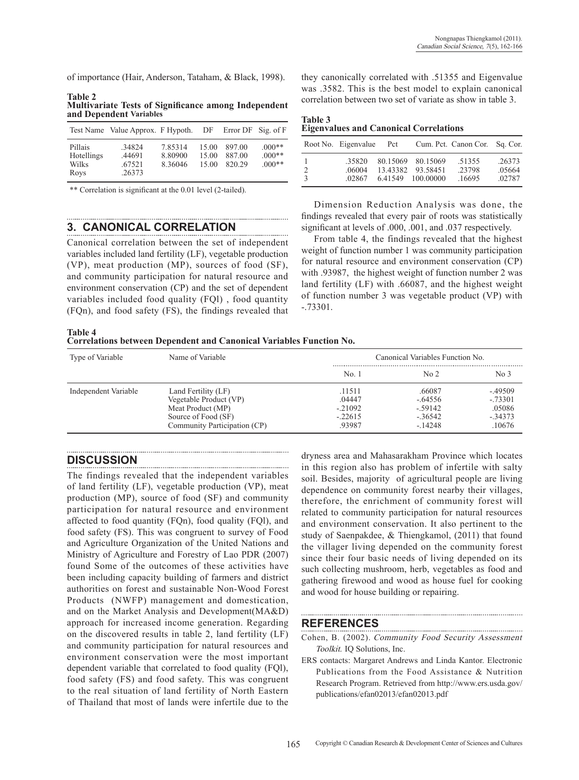of importance (Hair, Anderson, Tataham, & Black, 1998).

**Table 2 Multivariate Tests of Significance among Independent and Dependent Variables** 

|                                        | Test Name Value Approx. F Hypoth. DF Error DF Sig. of F |                               |                         |                            |                                  |
|----------------------------------------|---------------------------------------------------------|-------------------------------|-------------------------|----------------------------|----------------------------------|
| Pillais<br>Hotellings<br>Wilks<br>Roys | .34824<br>.44691<br>.67521<br>.26373                    | 7.85314<br>8.80900<br>8.36046 | 15.00<br>15.00<br>15.00 | 897.00<br>887.00<br>820.29 | $.000**$<br>$.000**$<br>$.000**$ |

\*\* Correlation is significant at the 0.01 level (2-tailed).

# **3. Canonical Correlation**

Canonical correlation between the set of independent variables included land fertility (LF), vegetable production (VP), meat production (MP), sources of food (SF), and community participation for natural resource and environment conservation (CP) and the set of dependent variables included food quality (FQl) , food quantity (FQn), and food safety (FS), the findings revealed that

**Table 4 Correlations between Dependent and Canonical Variables Function No.**

they canonically correlated with .51355 and Eigenvalue was .3582. This is the best model to explain canonical correlation between two set of variate as show in table 3.

| <b>Table 3</b> |  |                                               |
|----------------|--|-----------------------------------------------|
|                |  | <b>Eigenvalues and Canonical Correlations</b> |

|                    | Root No. Eigenvalue Pct |                                                             | Cum. Pct. Canon Cor. Sq. Cor. |                            |
|--------------------|-------------------------|-------------------------------------------------------------|-------------------------------|----------------------------|
| 2<br>$\mathcal{R}$ | 35820<br>06004<br>02867 | 80.15069 80.15069<br>13.43382 93.58451<br>6.41549 100.00000 | .51355<br>23798<br>.16695     | .26373<br>.05664<br>.02787 |

Dimension Reduction Analysis was done, the findings revealed that every pair of roots was statistically significant at levels of .000, .001, and .037 respectively.

From table 4, the findings revealed that the highest weight of function number 1 was community participation for natural resource and environment conservation (CP) with .93987, the highest weight of function number 2 was land fertility (LF) with .66087, and the highest weight of function number 3 was vegetable product (VP) with -.73301.

| Type of Variable     | Name of Variable             | Canonical Variables Function No. |                 |                 |
|----------------------|------------------------------|----------------------------------|-----------------|-----------------|
|                      |                              | No.1                             | No <sub>2</sub> | No <sub>3</sub> |
| Independent Variable | Land Fertility (LF)          | .11511                           | .66087          | $-.49509$       |
|                      | Vegetable Product (VP)       | .04447                           | $-.64556$       | $-.73301$       |
|                      | Meat Product (MP)            | $-.21092$                        | $-59142$        | .05086          |
|                      | Source of Food (SF)          | $-.22615$                        | $-36542$        | $-.34373$       |
|                      | Community Participation (CP) | .93987                           | $-14248$        | 10676           |

## **Discussion**

The findings revealed that the independent variables of land fertility (LF), vegetable production (VP), meat production (MP), source of food (SF) and community participation for natural resource and environment affected to food quantity (FQn), food quality (FQl), and food safety (FS). This was congruent to survey of Food and Agriculture Organization of the United Nations and Ministry of Agriculture and Forestry of Lao PDR (2007) found Some of the outcomes of these activities have been including capacity building of farmers and district authorities on forest and sustainable Non-Wood Forest Products (NWFP) management and domestication, and on the Market Analysis and Development(MA&D) approach for increased income generation. Regarding on the discovered results in table 2, land fertility (LF) and community participation for natural resources and environment conservation were the most important dependent variable that correlated to food quality (FQl), food safety (FS) and food safety. This was congruent to the real situation of land fertility of North Eastern of Thailand that most of lands were infertile due to the dryness area and Mahasarakham Province which locates in this region also has problem of infertile with salty soil. Besides, majority of agricultural people are living dependence on community forest nearby their villages, therefore, the enrichment of community forest will related to community participation for natural resources and environment conservation. It also pertinent to the study of Saenpakdee, & Thiengkamol, (2011) that found the villager living depended on the community forest since their four basic needs of living depended on its such collecting mushroom, herb, vegetables as food and gathering firewood and wood as house fuel for cooking and wood for house building or repairing.

## **References**

- Cohen, B. (2002). Community Food Security Assessment Toolkit. IQ Solutions, Inc.
- ERS contacts: Margaret Andrews and Linda Kantor. Electronic Publications from the Food Assistance & Nutrition Research Program. Retrieved from http://www.ers.usda.gov/ publications/efan02013/efan02013.pdf